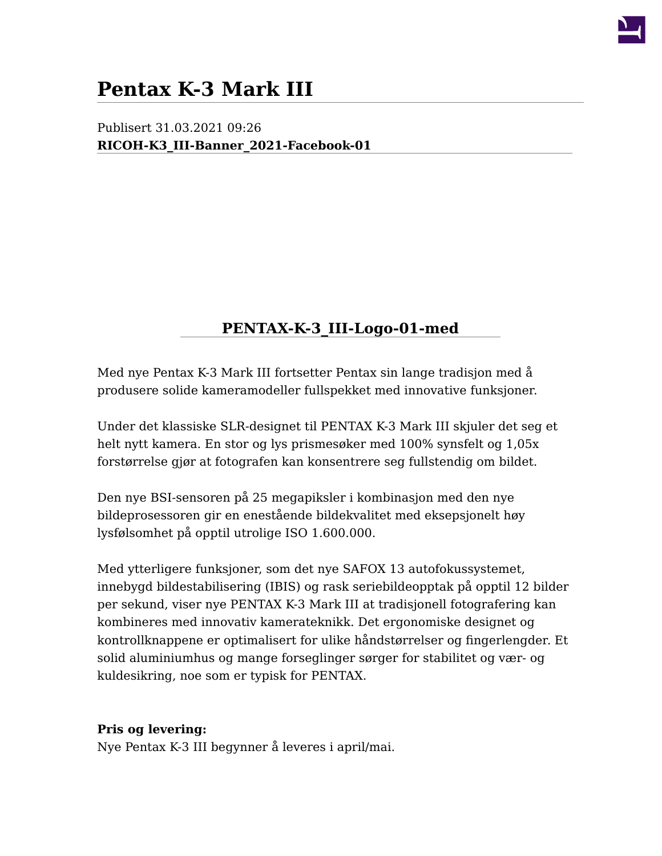

# **Pentax K-3 Mark III**

Publisert 31.03.2021 09:26 **[RICOH-K3\\_III-Banner\\_2021-Facebook-01](http://fovi.no/systemkamera/pentax-k-3-iii)**

# **[PENTAX-K-3\\_III-Logo-01-med](/file/thumb/file/9/982336&width=640&height=92&zwidth=640&zheight=92&x=321&y=47.jpg)**

Med nye Pentax K-3 Mark III fortsetter Pentax sin lange tradisjon med å produsere solide kameramodeller fullspekket med innovative funksjoner.

Under det klassiske SLR-designet til PENTAX K-3 Mark III skjuler det seg et helt nytt kamera. En stor og lys prismesøker med 100% synsfelt og 1,05x forstørrelse gjør at fotografen kan konsentrere seg fullstendig om bildet.

Den nye BSI-sensoren på 25 megapiksler i kombinasjon med den nye bildeprosessoren gir en enestående bildekvalitet med eksepsjonelt høy lysfølsomhet på opptil utrolige ISO 1.600.000.

Med ytterligere funksjoner, som det nye SAFOX 13 autofokussystemet, innebygd bildestabilisering (IBIS) og rask seriebildeopptak på opptil 12 bilder per sekund, viser nye PENTAX K-3 Mark III at tradisjonell fotografering kan kombineres med innovativ kamerateknikk. Det ergonomiske designet og kontrollknappene er optimalisert for ulike håndstørrelser og fingerlengder. Et solid aluminiumhus og mange forseglinger sørger for stabilitet og vær- og kuldesikring, noe som er typisk for PENTAX.

#### **Pris og levering:**

Nye Pentax K-3 III begynner å leveres i april/mai.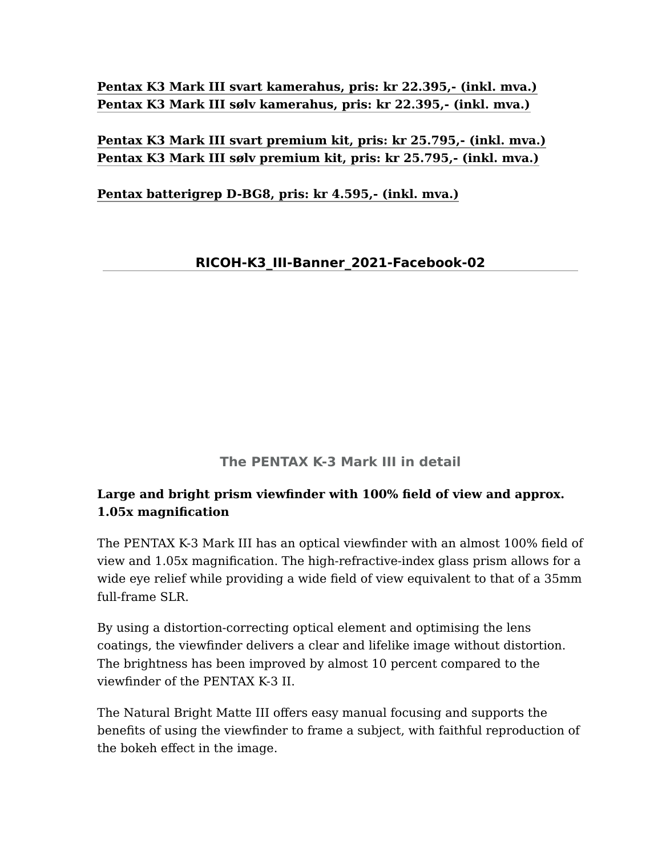**[Pentax K3 Mark III svart kamerahus, pris: kr 22.395,- \(inkl. mva.\)](http://fovi.no/systemkamera/pentax-k-3-iii/pentax-k-3-mark-iii) [Pentax K3 Mark III sølv kamerahus, pris: kr 22.395,- \(inkl. mva.\)](http://fovi.no/systemkamera/pentax-k-3-iii/pentax-k-3-mark-iii-kamerahus-silver)**

**[Pentax K3 Mark III svart premium kit, pris: kr 25.795,- \(inkl. mva.\)](http://fovi.no/utgatt/systemkamera/pentax-k-3-mark-iii-black-premium-kit) [Pentax K3 Mark III sølv premium kit, pris: kr 25.795,- \(inkl. mva.\)](http://fovi.no/utgatt/systemkamera/pentax-k-3-mark-iii-silver-premium-kit)**

**[Pentax batterigrep D-BG8, pris: kr 4.595,- \(inkl. mva.\)](http://fovi.no/systemkamera/pentax-k-3-iii/pentax-batterigrep-dbg8)**

# **[RICOH-K3\\_III-Banner\\_2021-Facebook-02](http://fovi.no/systemkamera/pentax-k-3-iii)**

**The PENTAX K-3 Mark III in detail**

## **Large and bright prism viewfinder with 100% field of view and approx. 1.05x magnification**

The PENTAX K-3 Mark III has an optical viewfinder with an almost 100% field of view and 1.05x magnification. The high-refractive-index glass prism allows for a wide eye relief while providing a wide field of view equivalent to that of a 35mm full-frame SLR.

By using a distortion-correcting optical element and optimising the lens coatings, the viewfinder delivers a clear and lifelike image without distortion. The brightness has been improved by almost 10 percent compared to the viewfinder of the PENTAX K-3 II.

The Natural Bright Matte III offers easy manual focusing and supports the benefits of using the viewfinder to frame a subject, with faithful reproduction of the bokeh effect in the image.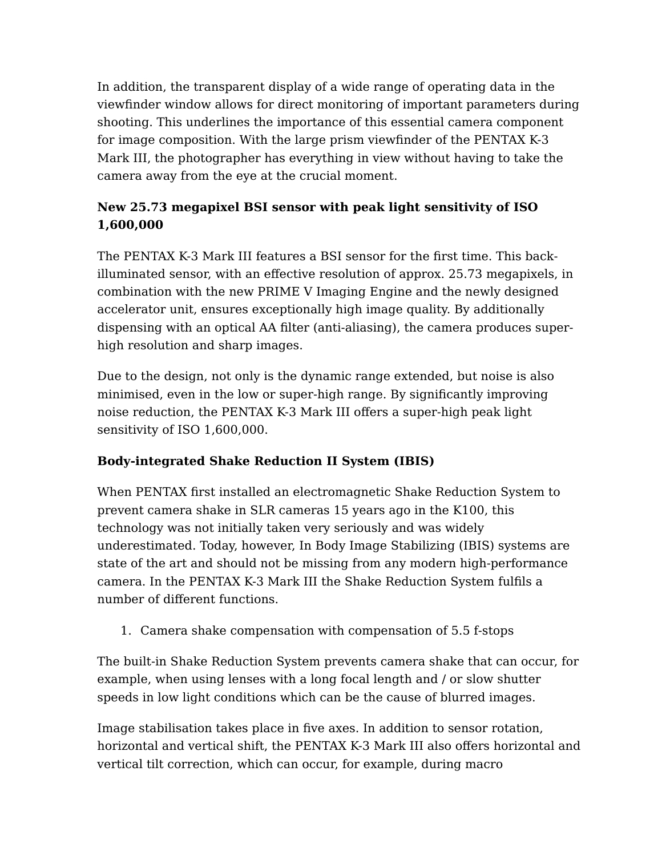In addition, the transparent display of a wide range of operating data in the viewfinder window allows for direct monitoring of important parameters during shooting. This underlines the importance of this essential camera component for image composition. With the large prism viewfinder of the PENTAX K-3 Mark III, the photographer has everything in view without having to take the camera away from the eye at the crucial moment.

# **New 25.73 megapixel BSI sensor with peak light sensitivity of ISO 1,600,000**

The PENTAX K-3 Mark III features a BSI sensor for the first time. This backilluminated sensor, with an effective resolution of approx. 25.73 megapixels, in combination with the new PRIME V Imaging Engine and the newly designed accelerator unit, ensures exceptionally high image quality. By additionally dispensing with an optical AA filter (anti-aliasing), the camera produces superhigh resolution and sharp images.

Due to the design, not only is the dynamic range extended, but noise is also minimised, even in the low or super-high range. By significantly improving noise reduction, the PENTAX K-3 Mark III offers a super-high peak light sensitivity of ISO 1,600,000.

# **Body-integrated Shake Reduction II System (IBIS)**

When PENTAX first installed an electromagnetic Shake Reduction System to prevent camera shake in SLR cameras 15 years ago in the K100, this technology was not initially taken very seriously and was widely underestimated. Today, however, In Body Image Stabilizing (IBIS) systems are state of the art and should not be missing from any modern high-performance camera. In the PENTAX K-3 Mark III the Shake Reduction System fulfils a number of different functions.

1. Camera shake compensation with compensation of 5.5 f-stops

The built-in Shake Reduction System prevents camera shake that can occur, for example, when using lenses with a long focal length and / or slow shutter speeds in low light conditions which can be the cause of blurred images.

Image stabilisation takes place in five axes. In addition to sensor rotation, horizontal and vertical shift, the PENTAX K-3 Mark III also offers horizontal and vertical tilt correction, which can occur, for example, during macro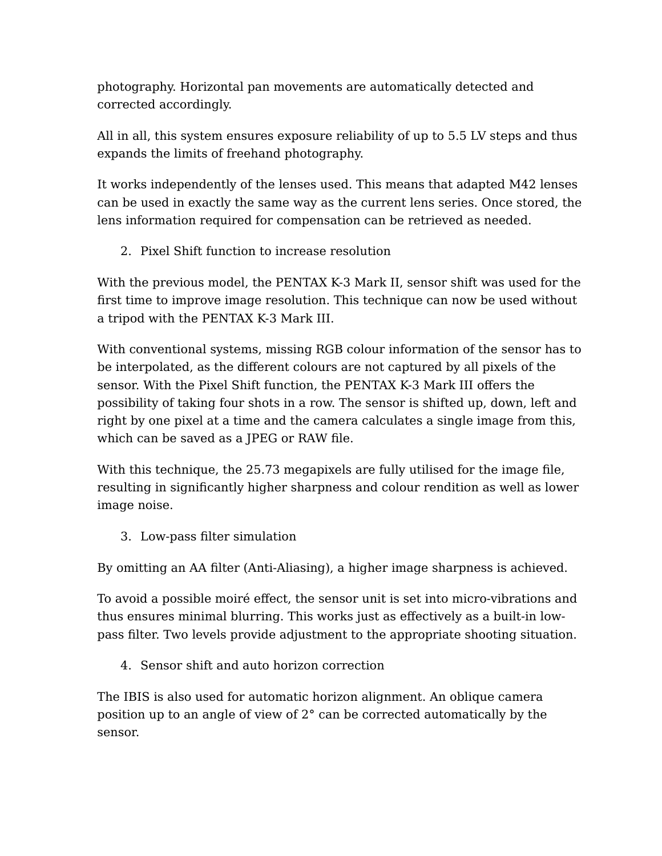photography. Horizontal pan movements are automatically detected and corrected accordingly.

All in all, this system ensures exposure reliability of up to 5.5 LV steps and thus expands the limits of freehand photography.

It works independently of the lenses used. This means that adapted M42 lenses can be used in exactly the same way as the current lens series. Once stored, the lens information required for compensation can be retrieved as needed.

2. Pixel Shift function to increase resolution

With the previous model, the PENTAX K-3 Mark II, sensor shift was used for the first time to improve image resolution. This technique can now be used without a tripod with the PENTAX K-3 Mark III.

With conventional systems, missing RGB colour information of the sensor has to be interpolated, as the different colours are not captured by all pixels of the sensor. With the Pixel Shift function, the PENTAX K-3 Mark III offers the possibility of taking four shots in a row. The sensor is shifted up, down, left and right by one pixel at a time and the camera calculates a single image from this, which can be saved as a JPEG or RAW file.

With this technique, the 25.73 megapixels are fully utilised for the image file, resulting in significantly higher sharpness and colour rendition as well as lower image noise.

3. Low-pass filter simulation

By omitting an AA filter (Anti-Aliasing), a higher image sharpness is achieved.

To avoid a possible moiré effect, the sensor unit is set into micro-vibrations and thus ensures minimal blurring. This works just as effectively as a built-in lowpass filter. Two levels provide adjustment to the appropriate shooting situation.

4. Sensor shift and auto horizon correction

The IBIS is also used for automatic horizon alignment. An oblique camera position up to an angle of view of 2° can be corrected automatically by the sensor.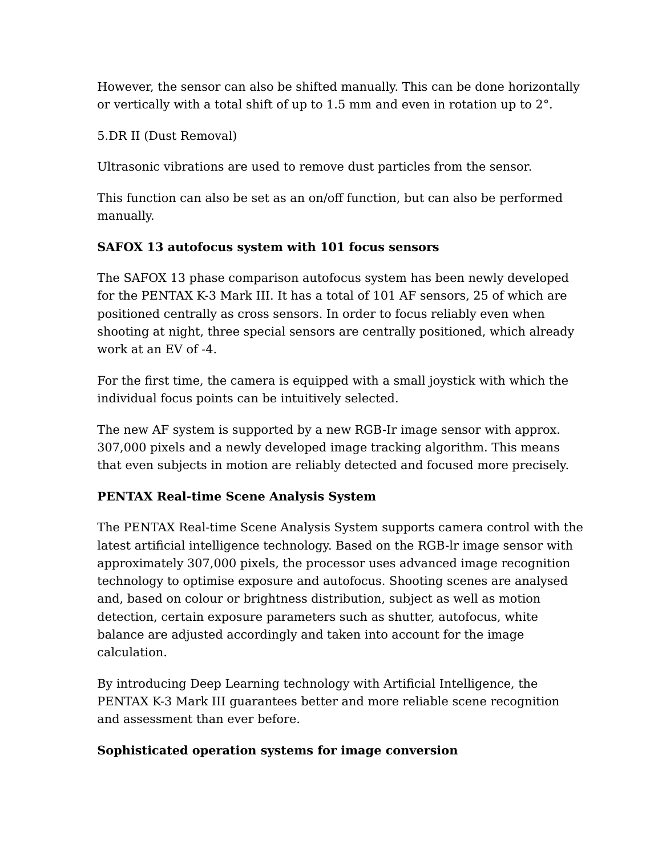However, the sensor can also be shifted manually. This can be done horizontally or vertically with a total shift of up to 1.5 mm and even in rotation up to 2°.

#### 5.DR II (Dust Removal)

Ultrasonic vibrations are used to remove dust particles from the sensor.

This function can also be set as an on/off function, but can also be performed manually.

#### **SAFOX 13 autofocus system with 101 focus sensors**

The SAFOX 13 phase comparison autofocus system has been newly developed for the PENTAX K-3 Mark III. It has a total of 101 AF sensors, 25 of which are positioned centrally as cross sensors. In order to focus reliably even when shooting at night, three special sensors are centrally positioned, which already work at an EV of -4.

For the first time, the camera is equipped with a small joystick with which the individual focus points can be intuitively selected.

The new AF system is supported by a new RGB-Ir image sensor with approx. 307,000 pixels and a newly developed image tracking algorithm. This means that even subjects in motion are reliably detected and focused more precisely.

## **PENTAX Real-time Scene Analysis System**

The PENTAX Real-time Scene Analysis System supports camera control with the latest artificial intelligence technology. Based on the RGB-lr image sensor with approximately 307,000 pixels, the processor uses advanced image recognition technology to optimise exposure and autofocus. Shooting scenes are analysed and, based on colour or brightness distribution, subject as well as motion detection, certain exposure parameters such as shutter, autofocus, white balance are adjusted accordingly and taken into account for the image calculation.

By introducing Deep Learning technology with Artificial Intelligence, the PENTAX K-3 Mark III guarantees better and more reliable scene recognition and assessment than ever before.

#### **Sophisticated operation systems for image conversion**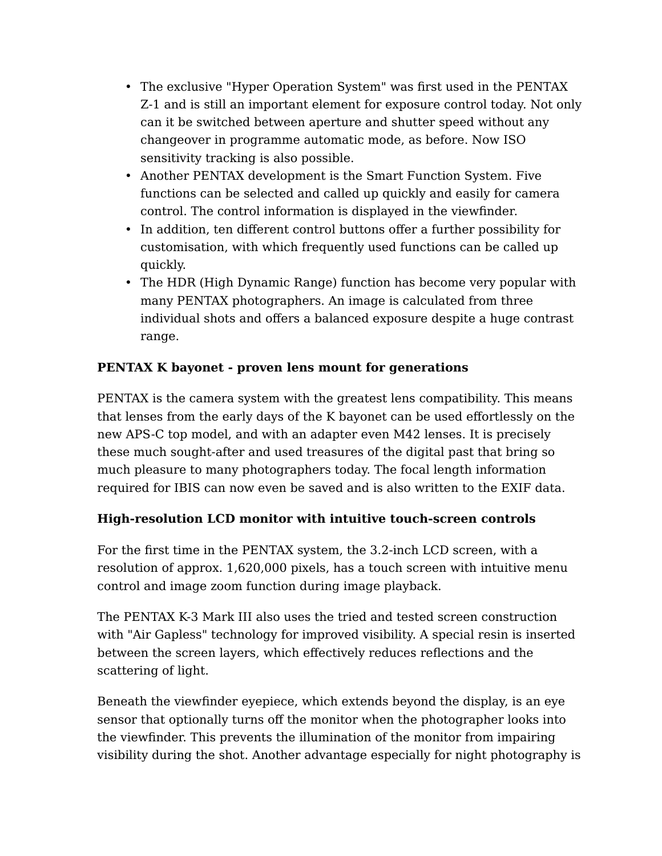- The exclusive "Hyper Operation System" was first used in the PENTAX Z-1 and is still an important element for exposure control today. Not only can it be switched between aperture and shutter speed without any changeover in programme automatic mode, as before. Now ISO sensitivity tracking is also possible.
- Another PENTAX development is the Smart Function System. Five functions can be selected and called up quickly and easily for camera control. The control information is displayed in the viewfinder.
- In addition, ten different control buttons offer a further possibility for customisation, with which frequently used functions can be called up quickly.
- The HDR (High Dynamic Range) function has become very popular with many PENTAX photographers. An image is calculated from three individual shots and offers a balanced exposure despite a huge contrast range.

## **PENTAX K bayonet - proven lens mount for generations**

PENTAX is the camera system with the greatest lens compatibility. This means that lenses from the early days of the K bayonet can be used effortlessly on the new APS-C top model, and with an adapter even M42 lenses. It is precisely these much sought-after and used treasures of the digital past that bring so much pleasure to many photographers today. The focal length information required for IBIS can now even be saved and is also written to the EXIF data.

## **High-resolution LCD monitor with intuitive touch-screen controls**

For the first time in the PENTAX system, the 3.2-inch LCD screen, with a resolution of approx. 1,620,000 pixels, has a touch screen with intuitive menu control and image zoom function during image playback.

The PENTAX K-3 Mark III also uses the tried and tested screen construction with "Air Gapless" technology for improved visibility. A special resin is inserted between the screen layers, which effectively reduces reflections and the scattering of light.

Beneath the viewfinder eyepiece, which extends beyond the display, is an eye sensor that optionally turns off the monitor when the photographer looks into the viewfinder. This prevents the illumination of the monitor from impairing visibility during the shot. Another advantage especially for night photography is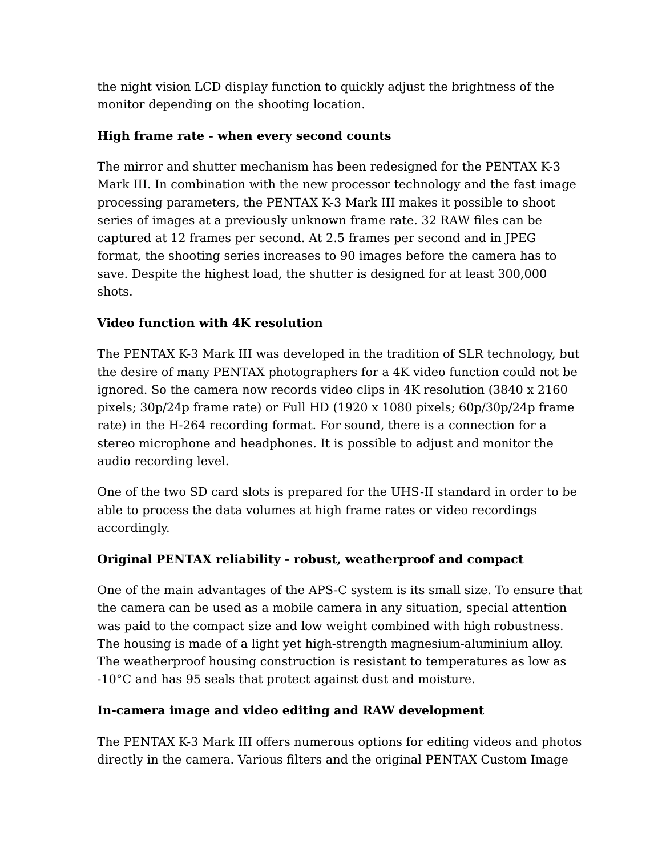the night vision LCD display function to quickly adjust the brightness of the monitor depending on the shooting location.

#### **High frame rate - when every second counts**

The mirror and shutter mechanism has been redesigned for the PENTAX K-3 Mark III. In combination with the new processor technology and the fast image processing parameters, the PENTAX K-3 Mark III makes it possible to shoot series of images at a previously unknown frame rate. 32 RAW files can be captured at 12 frames per second. At 2.5 frames per second and in JPEG format, the shooting series increases to 90 images before the camera has to save. Despite the highest load, the shutter is designed for at least 300,000 shots.

#### **Video function with 4K resolution**

The PENTAX K-3 Mark III was developed in the tradition of SLR technology, but the desire of many PENTAX photographers for a 4K video function could not be ignored. So the camera now records video clips in 4K resolution (3840 x 2160 pixels; 30p/24p frame rate) or Full HD (1920 x 1080 pixels; 60p/30p/24p frame rate) in the H-264 recording format. For sound, there is a connection for a stereo microphone and headphones. It is possible to adjust and monitor the audio recording level.

One of the two SD card slots is prepared for the UHS-II standard in order to be able to process the data volumes at high frame rates or video recordings accordingly.

## **Original PENTAX reliability - robust, weatherproof and compact**

One of the main advantages of the APS-C system is its small size. To ensure that the camera can be used as a mobile camera in any situation, special attention was paid to the compact size and low weight combined with high robustness. The housing is made of a light yet high-strength magnesium-aluminium alloy. The weatherproof housing construction is resistant to temperatures as low as -10°C and has 95 seals that protect against dust and moisture.

## **In-camera image and video editing and RAW development**

The PENTAX K-3 Mark III offers numerous options for editing videos and photos directly in the camera. Various filters and the original PENTAX Custom Image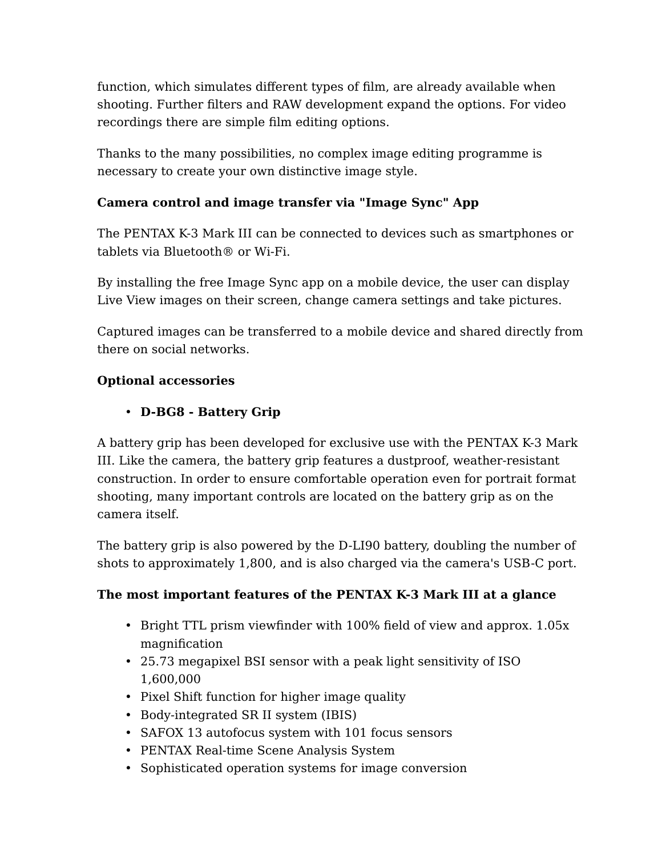function, which simulates different types of film, are already available when shooting. Further filters and RAW development expand the options. For video recordings there are simple film editing options.

Thanks to the many possibilities, no complex image editing programme is necessary to create your own distinctive image style.

## **Camera control and image transfer via "Image Sync" App**

The PENTAX K-3 Mark III can be connected to devices such as smartphones or tablets via Bluetooth® or Wi-Fi.

By installing the free Image Sync app on a mobile device, the user can display Live View images on their screen, change camera settings and take pictures.

Captured images can be transferred to a mobile device and shared directly from there on social networks.

## **Optional accessories**

# • **D-BG8 - Battery Grip**

A battery grip has been developed for exclusive use with the PENTAX K-3 Mark III. Like the camera, the battery grip features a dustproof, weather-resistant construction. In order to ensure comfortable operation even for portrait format shooting, many important controls are located on the battery grip as on the camera itself.

The battery grip is also powered by the D-LI90 battery, doubling the number of shots to approximately 1,800, and is also charged via the camera's USB-C port.

## **The most important features of the PENTAX K-3 Mark III at a glance**

- Bright TTL prism viewfinder with 100% field of view and approx. 1.05x magnification
- 25.73 megapixel BSI sensor with a peak light sensitivity of ISO 1,600,000
- Pixel Shift function for higher image quality
- Body-integrated SR II system (IBIS)
- SAFOX 13 autofocus system with 101 focus sensors
- PENTAX Real-time Scene Analysis System
- Sophisticated operation systems for image conversion